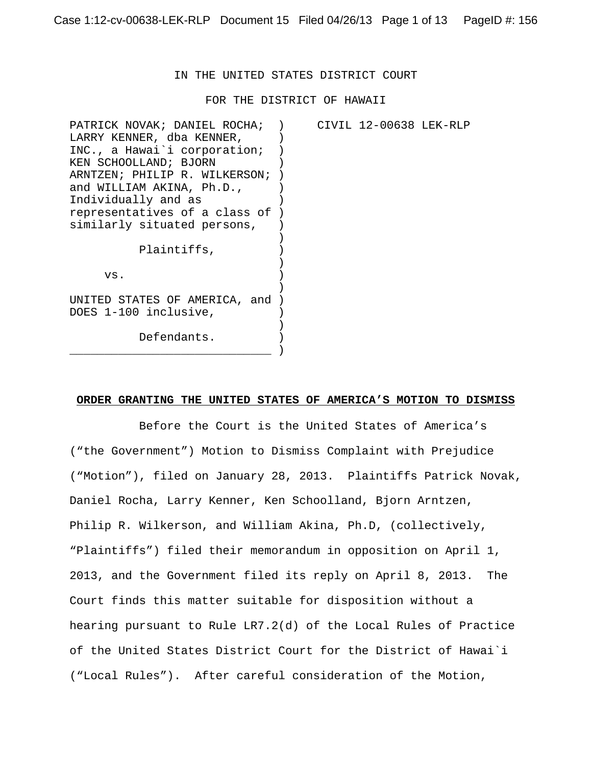### IN THE UNITED STATES DISTRICT COURT

FOR THE DISTRICT OF HAWAII

| PATRICK NOVAK; DANIEL ROCHA;    |  | CIVIL 12-00638 LEK-RLP |  |
|---------------------------------|--|------------------------|--|
| LARRY KENNER, dba KENNER,       |  |                        |  |
| INC., a Hawai i corporation;    |  |                        |  |
| KEN SCHOOLLAND; BJORN           |  |                        |  |
| ARNTZEN; PHILIP R. WILKERSON;   |  |                        |  |
| and WILLIAM AKINA, Ph.D.,       |  |                        |  |
| Individually and as             |  |                        |  |
| representatives of a class of ) |  |                        |  |
| similarly situated persons,     |  |                        |  |
|                                 |  |                        |  |
| Plaintiffs,                     |  |                        |  |
|                                 |  |                        |  |
| VS.                             |  |                        |  |
|                                 |  |                        |  |
| UNITED STATES OF AMERICA, and   |  |                        |  |
| DOES 1-100 inclusive,           |  |                        |  |
|                                 |  |                        |  |
| Defendants.                     |  |                        |  |
|                                 |  |                        |  |
|                                 |  |                        |  |

#### **ORDER GRANTING THE UNITED STATES OF AMERICA'S MOTION TO DISMISS**

Before the Court is the United States of America's ("the Government") Motion to Dismiss Complaint with Prejudice ("Motion"), filed on January 28, 2013. Plaintiffs Patrick Novak, Daniel Rocha, Larry Kenner, Ken Schoolland, Bjorn Arntzen, Philip R. Wilkerson, and William Akina, Ph.D, (collectively, "Plaintiffs") filed their memorandum in opposition on April 1, 2013, and the Government filed its reply on April 8, 2013. The Court finds this matter suitable for disposition without a hearing pursuant to Rule LR7.2(d) of the Local Rules of Practice of the United States District Court for the District of Hawai`i ("Local Rules"). After careful consideration of the Motion,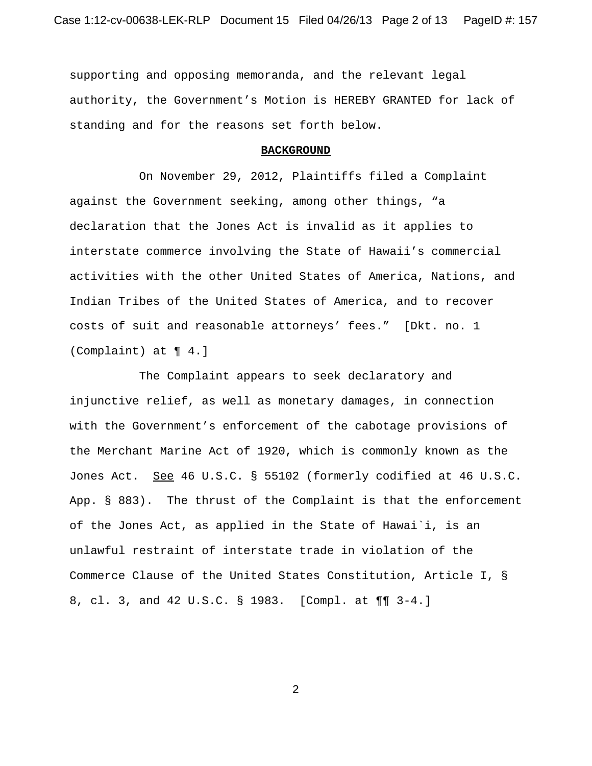supporting and opposing memoranda, and the relevant legal authority, the Government's Motion is HEREBY GRANTED for lack of standing and for the reasons set forth below.

#### **BACKGROUND**

On November 29, 2012, Plaintiffs filed a Complaint against the Government seeking, among other things, "a declaration that the Jones Act is invalid as it applies to interstate commerce involving the State of Hawaii's commercial activities with the other United States of America, Nations, and Indian Tribes of the United States of America, and to recover costs of suit and reasonable attorneys' fees." [Dkt. no. 1 (Complaint) at ¶ 4.]

The Complaint appears to seek declaratory and injunctive relief, as well as monetary damages, in connection with the Government's enforcement of the cabotage provisions of the Merchant Marine Act of 1920, which is commonly known as the Jones Act. See 46 U.S.C. § 55102 (formerly codified at 46 U.S.C. App. § 883). The thrust of the Complaint is that the enforcement of the Jones Act, as applied in the State of Hawai`i, is an unlawful restraint of interstate trade in violation of the Commerce Clause of the United States Constitution, Article I, § 8, cl. 3, and 42 U.S.C. § 1983. [Compl. at ¶¶ 3-4.]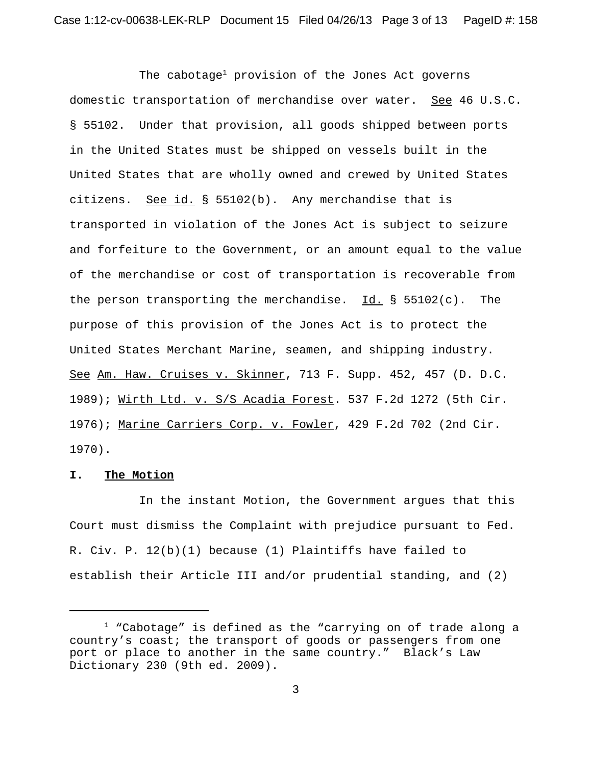The cabotage<sup>1</sup> provision of the Jones Act governs domestic transportation of merchandise over water. See 46 U.S.C. § 55102. Under that provision, all goods shipped between ports in the United States must be shipped on vessels built in the United States that are wholly owned and crewed by United States citizens. See id. § 55102(b). Any merchandise that is transported in violation of the Jones Act is subject to seizure and forfeiture to the Government, or an amount equal to the value of the merchandise or cost of transportation is recoverable from the person transporting the merchandise. Id. §  $55102(c)$ . The purpose of this provision of the Jones Act is to protect the United States Merchant Marine, seamen, and shipping industry. See Am. Haw. Cruises v. Skinner, 713 F. Supp. 452, 457 (D. D.C. 1989); Wirth Ltd. v. S/S Acadia Forest. 537 F.2d 1272 (5th Cir. 1976); Marine Carriers Corp. v. Fowler, 429 F.2d 702 (2nd Cir. 1970).

#### **I. The Motion**

In the instant Motion, the Government argues that this Court must dismiss the Complaint with prejudice pursuant to Fed. R. Civ. P. 12(b)(1) because (1) Plaintiffs have failed to establish their Article III and/or prudential standing, and (2)

 $1$  "Cabotage" is defined as the "carrying on of trade along a country's coast; the transport of goods or passengers from one port or place to another in the same country." Black's Law Dictionary 230 (9th ed. 2009).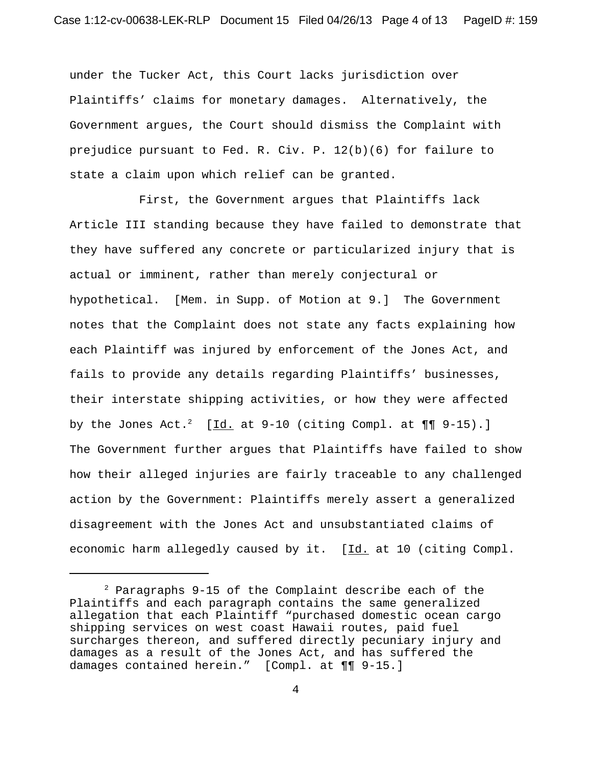under the Tucker Act, this Court lacks jurisdiction over Plaintiffs' claims for monetary damages. Alternatively, the Government argues, the Court should dismiss the Complaint with prejudice pursuant to Fed. R. Civ. P. 12(b)(6) for failure to state a claim upon which relief can be granted.

First, the Government argues that Plaintiffs lack Article III standing because they have failed to demonstrate that they have suffered any concrete or particularized injury that is actual or imminent, rather than merely conjectural or hypothetical. [Mem. in Supp. of Motion at 9.] The Government notes that the Complaint does not state any facts explaining how each Plaintiff was injured by enforcement of the Jones Act, and fails to provide any details regarding Plaintiffs' businesses, their interstate shipping activities, or how they were affected by the Jones Act.<sup>2</sup> [Id. at  $9-10$  (citing Compl. at  $\P\P$   $9-15$ ).] The Government further argues that Plaintiffs have failed to show how their alleged injuries are fairly traceable to any challenged action by the Government: Plaintiffs merely assert a generalized disagreement with the Jones Act and unsubstantiated claims of economic harm allegedly caused by it. [Id. at 10 (citing Compl.

 $2$  Paragraphs 9-15 of the Complaint describe each of the Plaintiffs and each paragraph contains the same generalized allegation that each Plaintiff "purchased domestic ocean cargo shipping services on west coast Hawaii routes, paid fuel surcharges thereon, and suffered directly pecuniary injury and damages as a result of the Jones Act, and has suffered the damages contained herein." [Compl. at ¶¶ 9-15.]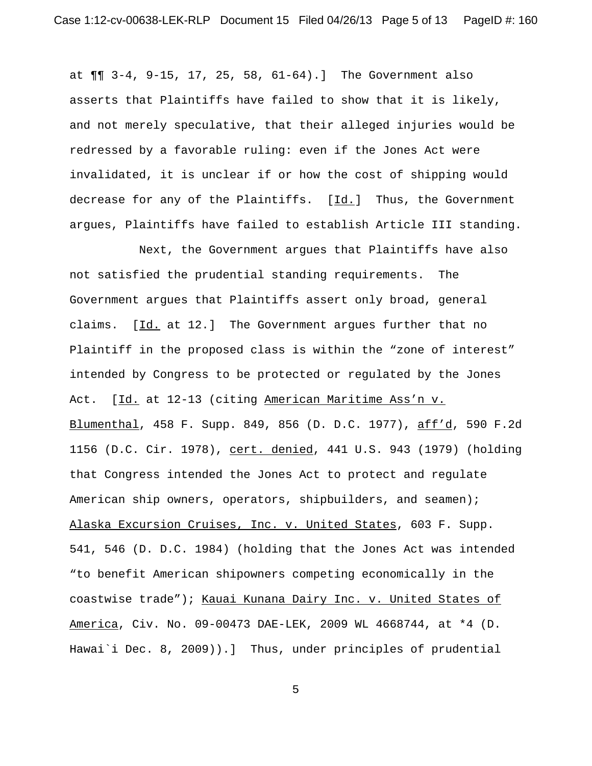at ¶¶ 3-4, 9-15, 17, 25, 58, 61-64).] The Government also asserts that Plaintiffs have failed to show that it is likely, and not merely speculative, that their alleged injuries would be redressed by a favorable ruling: even if the Jones Act were invalidated, it is unclear if or how the cost of shipping would decrease for any of the Plaintiffs. [Id.] Thus, the Government argues, Plaintiffs have failed to establish Article III standing.

Next, the Government argues that Plaintiffs have also not satisfied the prudential standing requirements. The Government argues that Plaintiffs assert only broad, general claims. [Id. at 12.] The Government argues further that no Plaintiff in the proposed class is within the "zone of interest" intended by Congress to be protected or regulated by the Jones Act. [Id. at 12-13 (citing American Maritime Ass'n v. Blumenthal, 458 F. Supp. 849, 856 (D. D.C. 1977), aff'd, 590 F.2d 1156 (D.C. Cir. 1978), cert. denied, 441 U.S. 943 (1979) (holding that Congress intended the Jones Act to protect and regulate American ship owners, operators, shipbuilders, and seamen); Alaska Excursion Cruises, Inc. v. United States, 603 F. Supp. 541, 546 (D. D.C. 1984) (holding that the Jones Act was intended "to benefit American shipowners competing economically in the coastwise trade"); Kauai Kunana Dairy Inc. v. United States of America, Civ. No. 09-00473 DAE-LEK, 2009 WL 4668744, at \*4 (D. Hawai`i Dec. 8, 2009)).] Thus, under principles of prudential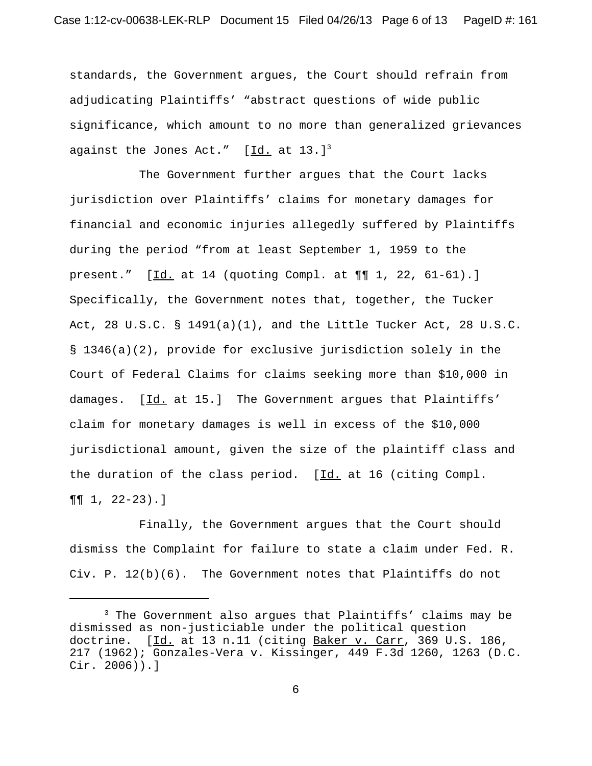standards, the Government argues, the Court should refrain from adjudicating Plaintiffs' "abstract questions of wide public significance, which amount to no more than generalized grievances against the Jones Act."  $[d. at 13.]<sup>3</sup>$ 

The Government further argues that the Court lacks jurisdiction over Plaintiffs' claims for monetary damages for financial and economic injuries allegedly suffered by Plaintiffs during the period "from at least September 1, 1959 to the present."  $[\underline{Id.}$  at 14 (quoting Compl. at  $\P\P$  1, 22, 61-61).] Specifically, the Government notes that, together, the Tucker Act, 28 U.S.C.  $\S$  1491(a)(1), and the Little Tucker Act, 28 U.S.C. § 1346(a)(2), provide for exclusive jurisdiction solely in the Court of Federal Claims for claims seeking more than \$10,000 in damages. [Id. at 15.] The Government argues that Plaintiffs' claim for monetary damages is well in excess of the \$10,000 jurisdictional amount, given the size of the plaintiff class and the duration of the class period.  $[\underline{Id}]$  at 16 (citing Compl.  $\P\P$  1, 22-23).]

Finally, the Government argues that the Court should dismiss the Complaint for failure to state a claim under Fed. R. Civ. P. 12(b)(6). The Government notes that Plaintiffs do not

<sup>&</sup>lt;sup>3</sup> The Government also argues that Plaintiffs' claims may be dismissed as non-justiciable under the political question doctrine. [Id. at 13 n.11 (citing Baker v. Carr, 369 U.S. 186, 217 (1962); Gonzales-Vera v. Kissinger, 449 F.3d 1260, 1263 (D.C. Cir. 2006)).]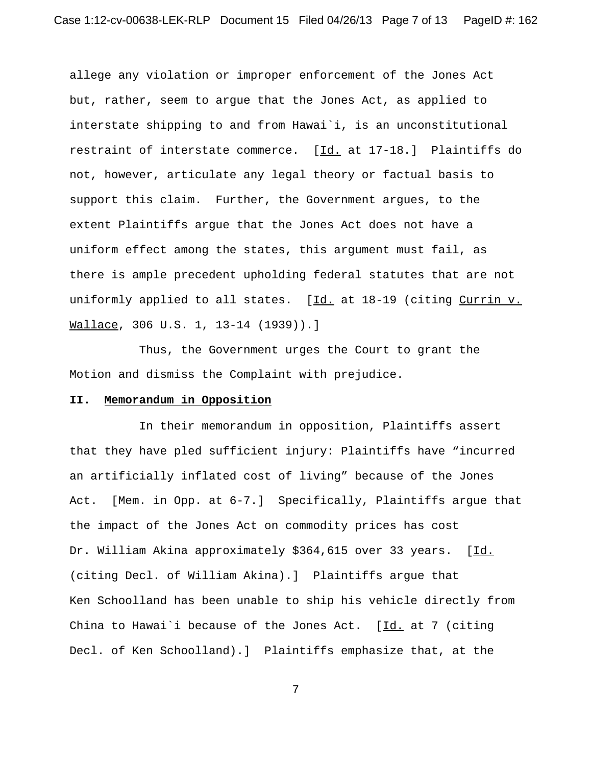allege any violation or improper enforcement of the Jones Act but, rather, seem to argue that the Jones Act, as applied to interstate shipping to and from Hawai`i, is an unconstitutional restraint of interstate commerce. [Id. at 17-18.] Plaintiffs do not, however, articulate any legal theory or factual basis to support this claim. Further, the Government argues, to the extent Plaintiffs argue that the Jones Act does not have a uniform effect among the states, this argument must fail, as there is ample precedent upholding federal statutes that are not uniformly applied to all states. [Id. at 18-19 (citing Currin v. Wallace, 306 U.S. 1, 13-14 (1939)).]

Thus, the Government urges the Court to grant the Motion and dismiss the Complaint with prejudice.

### **II. Memorandum in Opposition**

In their memorandum in opposition, Plaintiffs assert that they have pled sufficient injury: Plaintiffs have "incurred an artificially inflated cost of living" because of the Jones Act. [Mem. in Opp. at 6-7.] Specifically, Plaintiffs argue that the impact of the Jones Act on commodity prices has cost Dr. William Akina approximately \$364,615 over 33 years. [Id. (citing Decl. of William Akina).] Plaintiffs argue that Ken Schoolland has been unable to ship his vehicle directly from China to Hawai'i because of the Jones Act.  $[\underline{Id.}]$  at 7 (citing Decl. of Ken Schoolland).] Plaintiffs emphasize that, at the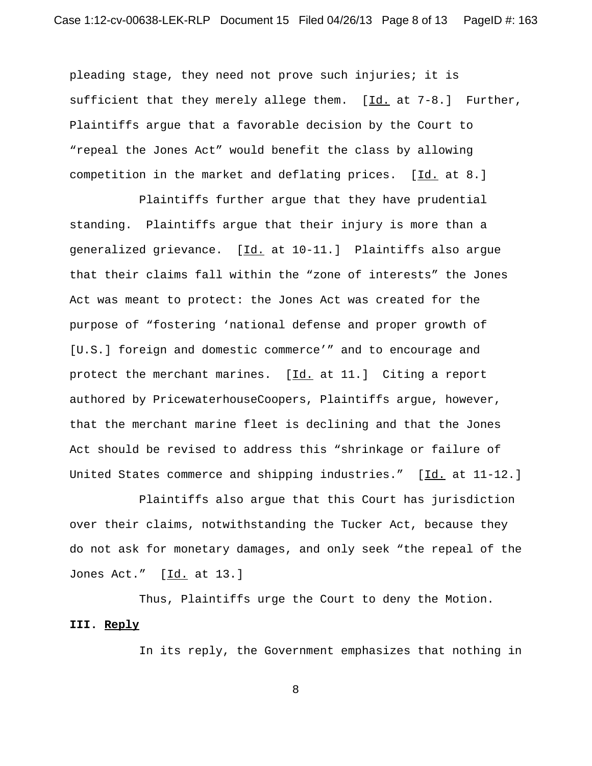pleading stage, they need not prove such injuries; it is sufficient that they merely allege them.  $[\underline{Id}]$  at 7-8.] Further, Plaintiffs argue that a favorable decision by the Court to "repeal the Jones Act" would benefit the class by allowing competition in the market and deflating prices. [Id. at 8.]

Plaintiffs further argue that they have prudential standing. Plaintiffs argue that their injury is more than a generalized grievance. [Id. at 10-11.] Plaintiffs also argue that their claims fall within the "zone of interests" the Jones Act was meant to protect: the Jones Act was created for the purpose of "fostering 'national defense and proper growth of [U.S.] foreign and domestic commerce'" and to encourage and protect the merchant marines. [Id. at 11.] Citing a report authored by PricewaterhouseCoopers, Plaintiffs argue, however, that the merchant marine fleet is declining and that the Jones Act should be revised to address this "shrinkage or failure of United States commerce and shipping industries." [Id. at 11-12.]

Plaintiffs also argue that this Court has jurisdiction over their claims, notwithstanding the Tucker Act, because they do not ask for monetary damages, and only seek "the repeal of the Jones Act." [Id. at 13.]

Thus, Plaintiffs urge the Court to deny the Motion. **III. Reply**

In its reply, the Government emphasizes that nothing in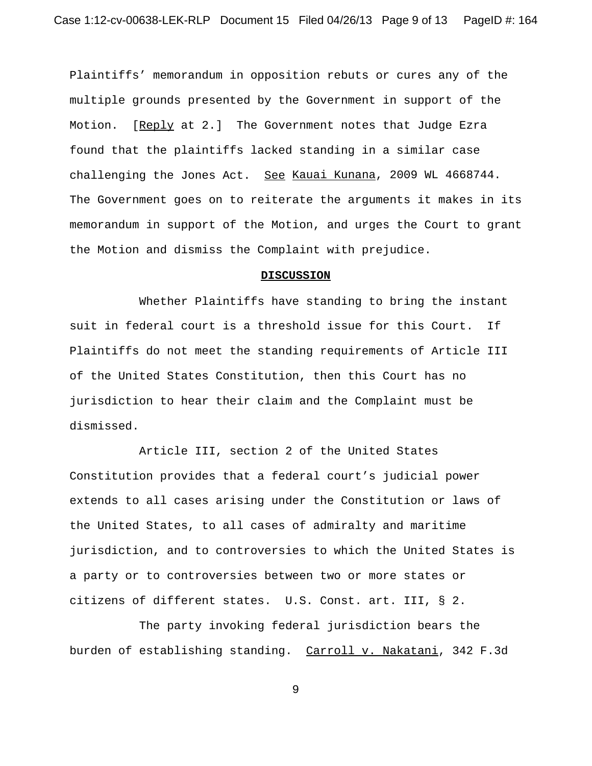Plaintiffs' memorandum in opposition rebuts or cures any of the multiple grounds presented by the Government in support of the Motion. [Reply at 2.] The Government notes that Judge Ezra found that the plaintiffs lacked standing in a similar case challenging the Jones Act. See Kauai Kunana, 2009 WL 4668744. The Government goes on to reiterate the arguments it makes in its memorandum in support of the Motion, and urges the Court to grant the Motion and dismiss the Complaint with prejudice.

#### **DISCUSSION**

Whether Plaintiffs have standing to bring the instant suit in federal court is a threshold issue for this Court. If Plaintiffs do not meet the standing requirements of Article III of the United States Constitution, then this Court has no jurisdiction to hear their claim and the Complaint must be dismissed.

Article III, section 2 of the United States Constitution provides that a federal court's judicial power extends to all cases arising under the Constitution or laws of the United States, to all cases of admiralty and maritime jurisdiction, and to controversies to which the United States is a party or to controversies between two or more states or citizens of different states. U.S. Const. art. III, § 2.

The party invoking federal jurisdiction bears the burden of establishing standing. Carroll v. Nakatani, 342 F.3d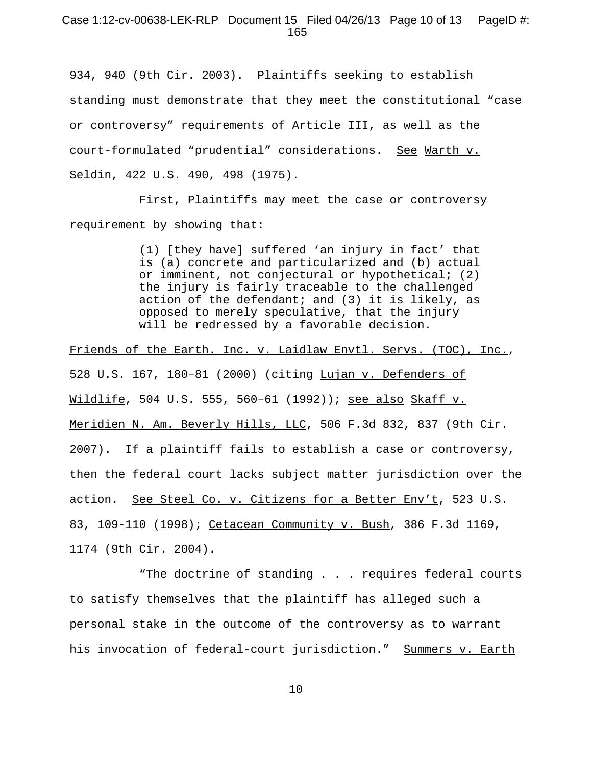# Case 1:12-cv-00638-LEK-RLP Document 15 Filed 04/26/13 Page 10 of 13 PageID #: 165

934, 940 (9th Cir. 2003). Plaintiffs seeking to establish standing must demonstrate that they meet the constitutional "case or controversy" requirements of Article III, as well as the court-formulated "prudential" considerations. See Warth v. Seldin, 422 U.S. 490, 498 (1975).

First, Plaintiffs may meet the case or controversy requirement by showing that:

> (1) [they have] suffered 'an injury in fact' that is (a) concrete and particularized and (b) actual or imminent, not conjectural or hypothetical; (2) the injury is fairly traceable to the challenged action of the defendant; and (3) it is likely, as opposed to merely speculative, that the injury will be redressed by a favorable decision.

Friends of the Earth. Inc. v. Laidlaw Envtl. Servs. (TOC), Inc., 528 U.S. 167, 180–81 (2000) (citing Lujan v. Defenders of Wildlife, 504 U.S. 555, 560–61 (1992)); see also Skaff v. Meridien N. Am. Beverly Hills, LLC, 506 F.3d 832, 837 (9th Cir. 2007). If a plaintiff fails to establish a case or controversy, then the federal court lacks subject matter jurisdiction over the action. See Steel Co. v. Citizens for a Better Env't, 523 U.S. 83, 109-110 (1998); Cetacean Community v. Bush, 386 F.3d 1169, 1174 (9th Cir. 2004).

"The doctrine of standing . . . requires federal courts to satisfy themselves that the plaintiff has alleged such a personal stake in the outcome of the controversy as to warrant his invocation of federal-court jurisdiction." Summers v. Earth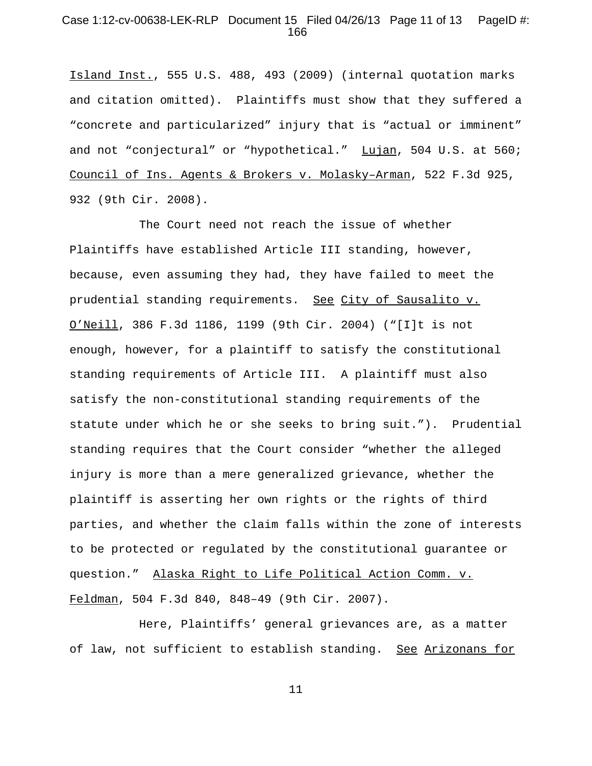# Case 1:12-cv-00638-LEK-RLP Document 15 Filed 04/26/13 Page 11 of 13 PageID #: 166

Island Inst., 555 U.S. 488, 493 (2009) (internal quotation marks and citation omitted). Plaintiffs must show that they suffered a "concrete and particularized" injury that is "actual or imminent" and not "conjectural" or "hypothetical." Lujan, 504 U.S. at 560; Council of Ins. Agents & Brokers v. Molasky–Arman, 522 F.3d 925, 932 (9th Cir. 2008).

The Court need not reach the issue of whether Plaintiffs have established Article III standing, however, because, even assuming they had, they have failed to meet the prudential standing requirements. See City of Sausalito v. O'Neill, 386 F.3d 1186, 1199 (9th Cir. 2004) ("[I]t is not enough, however, for a plaintiff to satisfy the constitutional standing requirements of Article III. A plaintiff must also satisfy the non-constitutional standing requirements of the statute under which he or she seeks to bring suit."). Prudential standing requires that the Court consider "whether the alleged injury is more than a mere generalized grievance, whether the plaintiff is asserting her own rights or the rights of third parties, and whether the claim falls within the zone of interests to be protected or regulated by the constitutional guarantee or question." Alaska Right to Life Political Action Comm. v. Feldman, 504 F.3d 840, 848–49 (9th Cir. 2007).

Here, Plaintiffs' general grievances are, as a matter of law, not sufficient to establish standing. See Arizonans for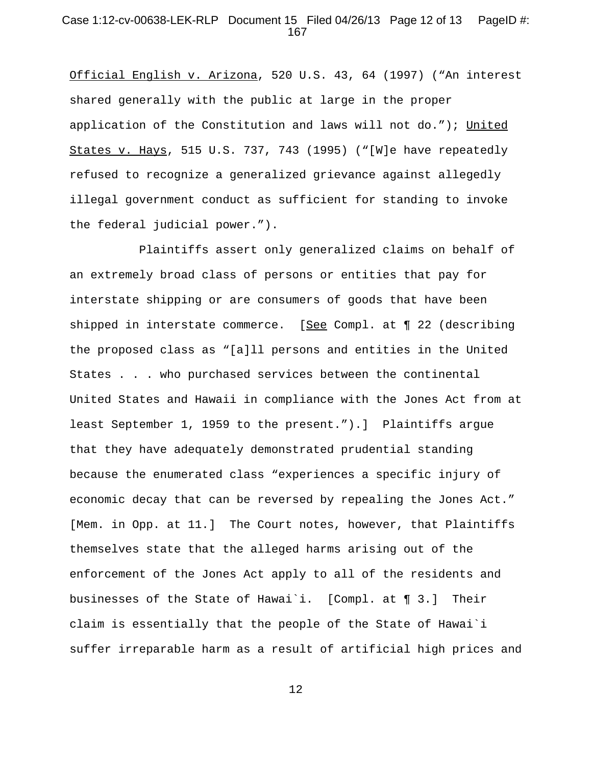# Case 1:12-cv-00638-LEK-RLP Document 15 Filed 04/26/13 Page 12 of 13 PageID #: 167

Official English v. Arizona, 520 U.S. 43, 64 (1997) ("An interest shared generally with the public at large in the proper application of the Constitution and laws will not do."); United States v. Hays, 515 U.S. 737, 743 (1995) ("[W]e have repeatedly refused to recognize a generalized grievance against allegedly illegal government conduct as sufficient for standing to invoke the federal judicial power.").

Plaintiffs assert only generalized claims on behalf of an extremely broad class of persons or entities that pay for interstate shipping or are consumers of goods that have been shipped in interstate commerce. [See Compl. at ¶ 22 (describing the proposed class as "[a]ll persons and entities in the United States . . . who purchased services between the continental United States and Hawaii in compliance with the Jones Act from at least September 1, 1959 to the present.").] Plaintiffs argue that they have adequately demonstrated prudential standing because the enumerated class "experiences a specific injury of economic decay that can be reversed by repealing the Jones Act." [Mem. in Opp. at 11.] The Court notes, however, that Plaintiffs themselves state that the alleged harms arising out of the enforcement of the Jones Act apply to all of the residents and businesses of the State of Hawai`i. [Compl. at ¶ 3.] Their claim is essentially that the people of the State of Hawai`i suffer irreparable harm as a result of artificial high prices and